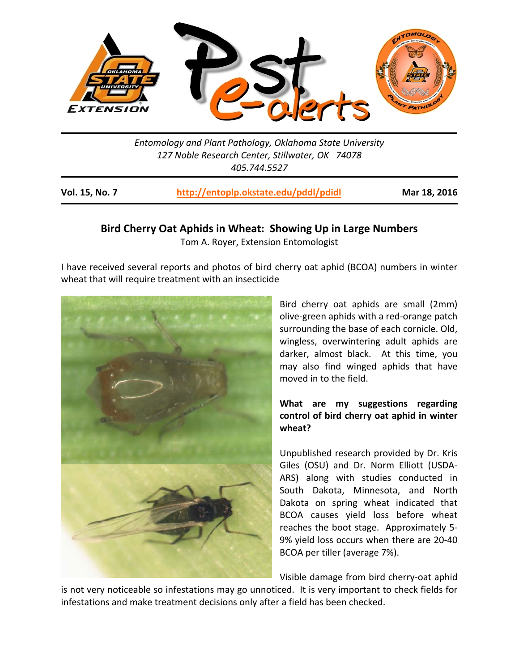

*Entomology and Plant Pathology, Oklahoma State University 127 Noble Research Center, Stillwater, OK 74078 405.744.5527* 

| Vol. 15, No. 7 | http://entoplp.okstate.edu/pddl/pdidl | Mar 18, 2016 |
|----------------|---------------------------------------|--------------|
|                |                                       |              |

## **Bird Cherry Oat Aphids in Wheat: Showing Up in Large Numbers**  Tom A. Royer, Extension Entomologist

I have received several reports and photos of bird cherry oat aphid (BCOA) numbers in winter wheat that will require treatment with an insecticide



Bird cherry oat aphids are small (2mm) olive‐green aphids with a red‐orange patch surrounding the base of each cornicle. Old, wingless, overwintering adult aphids are darker, almost black. At this time, you may also find winged aphids that have moved in to the field.

# **What are my suggestions regarding control of bird cherry oat aphid in winter wheat?**

Unpublished research provided by Dr. Kris Giles (OSU) and Dr. Norm Elliott (USDA‐ ARS) along with studies conducted in South Dakota, Minnesota, and North Dakota on spring wheat indicated that BCOA causes yield loss before wheat reaches the boot stage. Approximately 5‐ 9% yield loss occurs when there are 20‐40 BCOA per tiller (average 7%).

Visible damage from bird cherry‐oat aphid

is not very noticeable so infestations may go unnoticed. It is very important to check fields for infestations and make treatment decisions only after a field has been checked.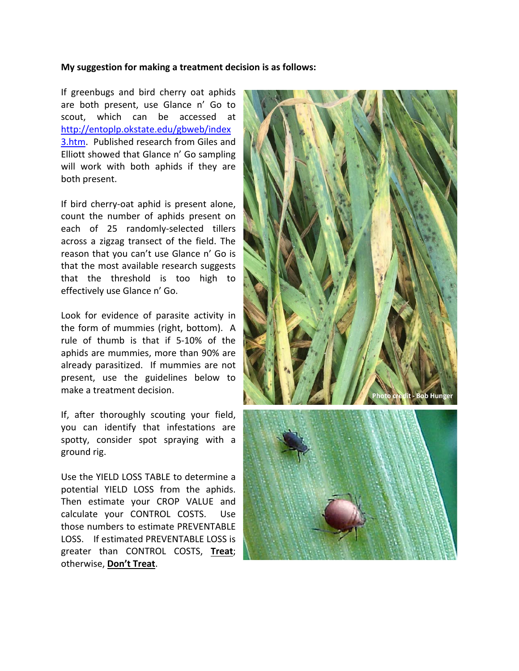## **My suggestion for making a treatment decision is as follows:**

If greenbugs and bird cherry oat aphids are both present, use Glance n' Go to scout, which can be accessed at http://entoplp.okstate.edu/gbweb/index 3.htm. Published research from Giles and Elliott showed that Glance n' Go sampling will work with both aphids if they are both present.

If bird cherry‐oat aphid is present alone, count the number of aphids present on each of 25 randomly-selected tillers across a zigzag transect of the field. The reason that you can't use Glance n' Go is that the most available research suggests that the threshold is too high to effectively use Glance n' Go.

Look for evidence of parasite activity in the form of mummies (right, bottom). A rule of thumb is that if 5‐10% of the aphids are mummies, more than 90% are already parasitized. If mummies are not present, use the guidelines below to make a treatment decision.

If, after thoroughly scouting your field, you can identify that infestations are spotty, consider spot spraying with a ground rig.

Use the YIELD LOSS TABLE to determine a potential YIELD LOSS from the aphids. Then estimate your CROP VALUE and calculate your CONTROL COSTS. Use those numbers to estimate PREVENTABLE LOSS. If estimated PREVENTABLE LOSS is greater than CONTROL COSTS, **Treat**; otherwise, **Don't Treat**.